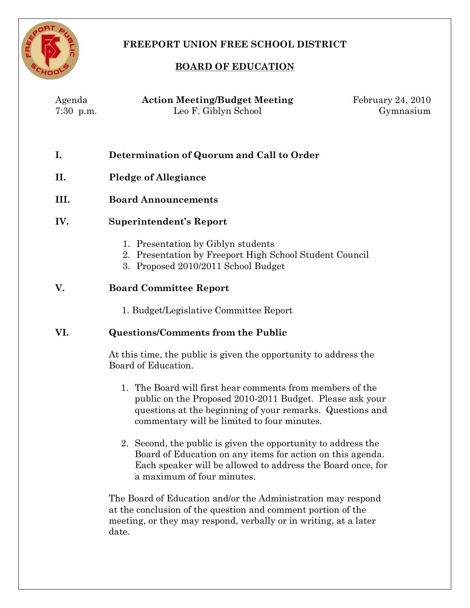

# **FREEPORT UNION FREE SCHOOL DISTRICT**

# **BOARD OF EDUCATION**

February 24, 2010

Gymnasium

| Agenda      | <b>Action Meeting/Budget Meeting</b>      |
|-------------|-------------------------------------------|
| $7:30$ p.m. | Leo F. Giblyn School                      |
|             | Determination of Quorum and Call to Order |

- **II. Pledge of Allegiance**
- **III. Board Announcements**

# **IV. Superintendent's Report**

- 1. Presentation by Giblyn students
- 2. Presentation by Freeport High School Student Council
- 3. Proposed 2010/2011 School Budget

### **V. Board Committee Report**

1. Budget/Legislative Committee Report

### **VI. Questions/Comments from the Public**

At this time, the public is given the opportunity to address the Board of Education.

- 1. The Board will first hear comments from members of the public on the Proposed 2010-2011 Budget. Please ask your questions at the beginning of your remarks. Questions and commentary will be limited to four minutes.
- 2. Second, the public is given the opportunity to address the Board of Education on any items for action on this agenda. Each speaker will be allowed to address the Board once, for a maximum of four minutes.

The Board of Education and/or the Administration may respond at the conclusion of the question and comment portion of the meeting, or they may respond, verbally or in writing, at a later date.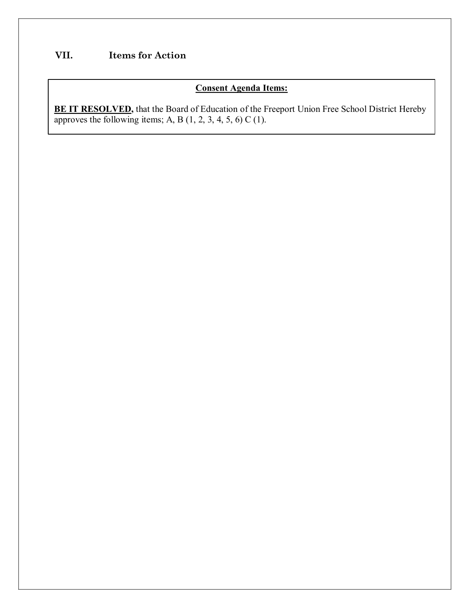# **VII. Items for Action**

#### **Consent Agenda Items:**

**BE IT RESOLVED,** that the Board of Education of the Freeport Union Free School District Hereby approves the following items; A, B  $(1, 2, 3, 4, 5, 6)$  C  $(1)$ .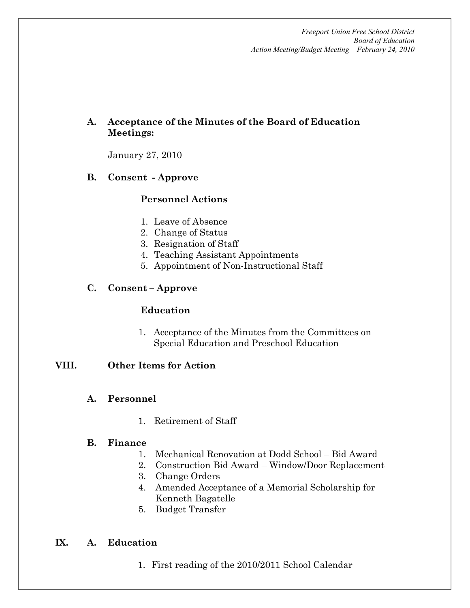# **A. Acceptance of the Minutes of the Board of Education Meetings:**

January 27, 2010

### **B. Consent Approve**

### **Personnel Actions**

- 1. Leave of Absence
- 2. Change of Status
- 3. Resignation of Staff
- 4. Teaching Assistant Appointments
- 5. Appointment of Non-Instructional Staff

#### **C. Consent – Approve**

#### **Education**

1. Acceptance of the Minutes from the Committees on Special Education and Preschool Education

#### **VIII. Other Items for Action**

### **A. Personnel**

1. Retirement of Staff

#### **B. Finance**

- 1. Mechanical Renovation at Dodd School Bid Award
	- 2. Construction Bid Award Window/Door Replacement
	- 3. Change Orders
	- 4. Amended Acceptance of a Memorial Scholarship for Kenneth Bagatelle
- 5. Budget Transfer

#### **IX. A. Education**

1. First reading of the 2010/2011 School Calendar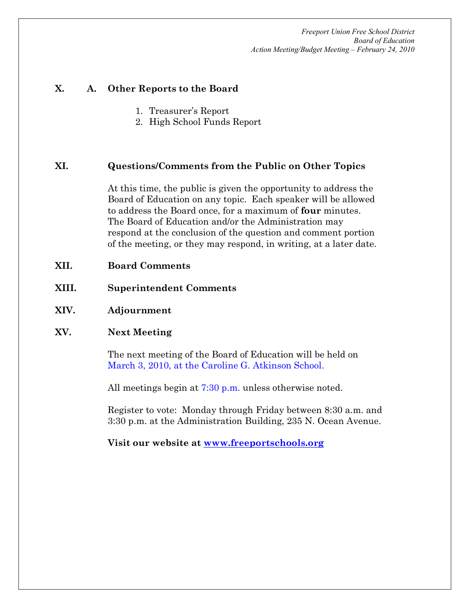#### **X. A. Other Reports to the Board**

- 1. Treasurer's Report
- 2. High School Funds Report

#### **XI. Questions/Comments from the Public on Other Topics**

At this time, the public is given the opportunity to address the Board of Education on any topic. Each speaker will be allowed to address the Board once, for a maximum of **four** minutes. The Board of Education and/or the Administration may respond at the conclusion of the question and comment portion of the meeting, or they may respond, in writing, at a later date.

- **XII. Board Comments**
- **XIII. Superintendent Comments**
- **XIV. Adjournment**

#### **XV. Next Meeting**

The next meeting of the Board of Education will be held on March 3, 2010, at the Caroline G. Atkinson School.

All meetings begin at 7:30 p.m. unless otherwise noted.

Register to vote: Monday through Friday between 8:30 a.m. and 3:30 p.m. at the Administration Building, 235 N. Ocean Avenue.

**Visit our website at [www.freeportschools.org](http://www.freeportschools.org/)**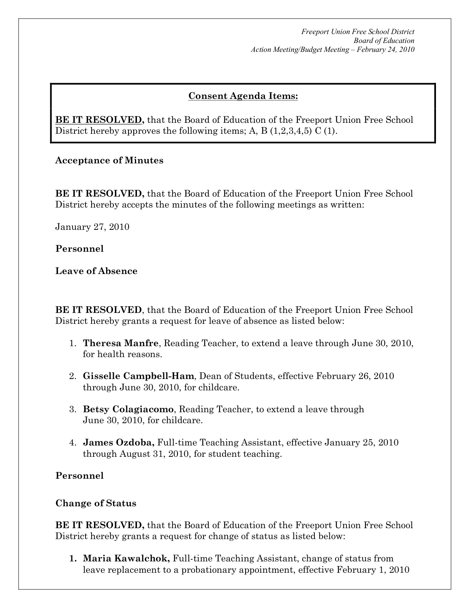# **Consent Agenda Items:**

**BE IT RESOLVED,** that the Board of Education of the Freeport Union Free School District hereby approves the following items; A, B (1,2,3,4,5) C (1).

**Acceptance of Minutes** 

**BE IT RESOLVED,** that the Board of Education of the Freeport Union Free School District hereby accepts the minutes of the following meetings as written:

January 27, 2010

**Personnel**

**Leave of Absence**

**BE IT RESOLVED**, that the Board of Education of the Freeport Union Free School District hereby grants a request for leave of absence as listed below:

- 1. **Theresa Manfre**, Reading Teacher, to extend a leave through June 30, 2010, for health reasons.
- 2. **Gisselle Campbell-Ham**, Dean of Students, effective February 26, 2010 through June 30, 2010, for childcare.
- 3. **Betsy Colagiacomo**, Reading Teacher, to extend a leave through June 30, 2010, for childcare.
- 4. **James Ozdoba, Full-time Teaching Assistant, effective January 25, 2010** through August 31, 2010, for student teaching.

**Personnel**

# **Change of Status**

**BE IT RESOLVED,** that the Board of Education of the Freeport Union Free School District hereby grants a request for change of status as listed below:

**1. Maria Kawalchok,** Full-time Teaching Assistant, change of status from leave replacement to a probationary appointment, effective February 1, 2010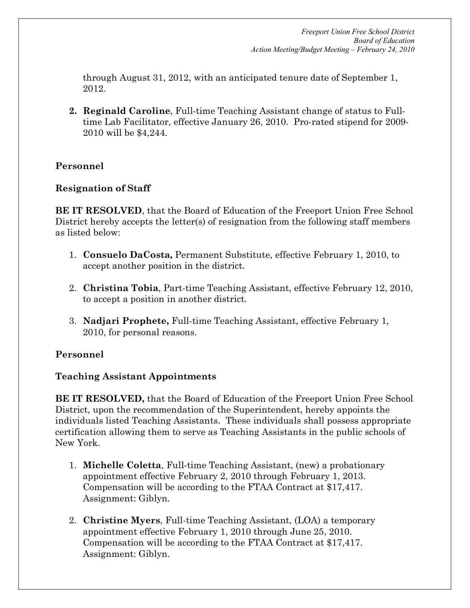through August 31, 2012, with an anticipated tenure date of September 1, 2012.

**2. Reginald Caroline**, Full-time Teaching Assistant change of status to Fulltime Lab Facilitator, effective January 26, 2010. Pro-rated stipend for 2009-2010 will be \$4,244.

# **Personnel**

#### **Resignation of Staff**

**BE IT RESOLVED**, that the Board of Education of the Freeport Union Free School District hereby accepts the letter(s) of resignation from the following staff members as listed below:

- 1. **Consuelo DaCosta,** Permanent Substitute, effective February 1, 2010, to accept another position in the district.
- 2. **Christina Tobia**, Part-time Teaching Assistant, effective February 12, 2010, to accept a position in another district.
- 3. **Nadjari Prophete,** Full-time Teaching Assistant, effective February 1, 2010, for personal reasons.

### **Personnel**

### **Teaching Assistant Appointments**

**BE IT RESOLVED,** that the Board of Education of the Freeport Union Free School District, upon the recommendation of the Superintendent, hereby appoints the individuals listed Teaching Assistants. These individuals shall possess appropriate certification allowing them to serve as Teaching Assistants in the public schools of New York.

- 1. **Michelle Coletta**, Full-time Teaching Assistant, (new) a probationary appointment effective February 2, 2010 through February 1, 2013. Compensation will be according to the FTAA Contract at \$17,417. Assignment: Giblyn.
- 2. **Christine Myers**, Full-time Teaching Assistant, (LOA) a temporary appointment effective February 1, 2010 through June 25, 2010. Compensation will be according to the FTAA Contract at \$17,417. Assignment: Giblyn.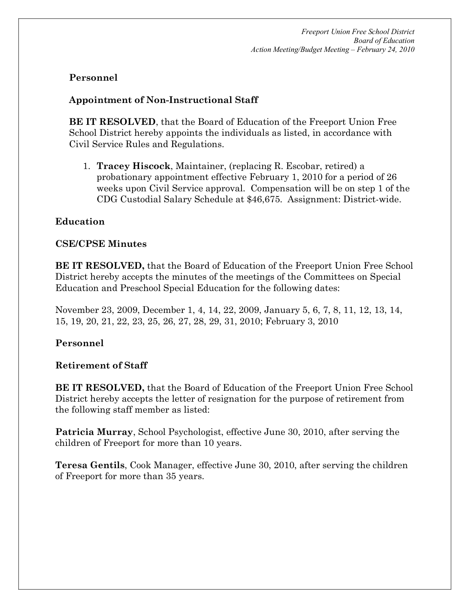## **Personnel**

## **Appointment** of **Non-Instructional** Staff

**BE IT RESOLVED**, that the Board of Education of the Freeport Union Free School District hereby appoints the individuals as listed, in accordance with Civil Service Rules and Regulations.

1. **Tracey Hiscock**, Maintainer, (replacing R. Escobar, retired) a probationary appointment effective February 1, 2010 for a period of 26 weeks upon Civil Service approval. Compensation will be on step 1 of the CDG Custodial Salary Schedule at \$46,675. Assignment: District-wide.

# **Education**

### **CSE/CPSE Minutes**

**BE IT RESOLVED,** that the Board of Education of the Freeport Union Free School District hereby accepts the minutes of the meetings of the Committees on Special Education and Preschool Special Education for the following dates:

November 23, 2009, December 1, 4, 14, 22, 2009, January 5, 6, 7, 8, 11, 12, 13, 14, 15, 19, 20, 21, 22, 23, 25, 26, 27, 28, 29, 31, 2010; February 3, 2010

# **Personnel**

### **Retirement of Staff**

**BE IT RESOLVED,** that the Board of Education of the Freeport Union Free School District hereby accepts the letter of resignation for the purpose of retirement from the following staff member as listed:

**Patricia Murray**, School Psychologist, effective June 30, 2010, after serving the children of Freeport for more than 10 years.

**Teresa Gentils**, Cook Manager, effective June 30, 2010, after serving the children of Freeport for more than 35 years.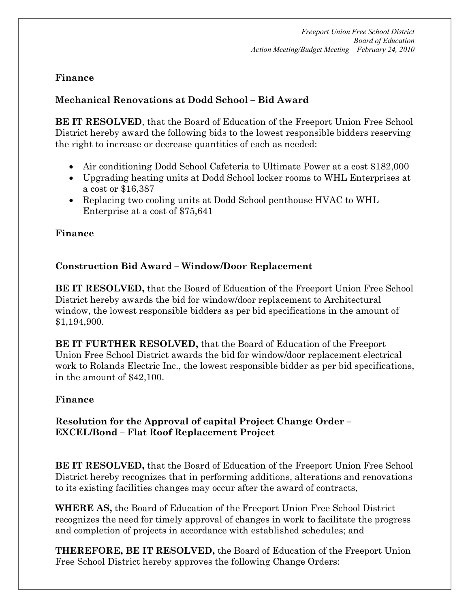# **Finance**

# **Mechanical Renovations at Dodd School – Bid Award**

**BE IT RESOLVED**, that the Board of Education of the Freeport Union Free School District hereby award the following bids to the lowest responsible bidders reserving the right to increase or decrease quantities of each as needed:

- · Air conditioning Dodd School Cafeteria to Ultimate Power at a cost \$182,000
- · Upgrading heating units at Dodd School locker rooms to WHL Enterprises at a cost or \$16,387
- · Replacing two cooling units at Dodd School penthouse HVAC to WHL Enterprise at a cost of \$75,641

# **Finance**

# **Construction Bid Award – Window/Door Replacement**

**BE IT RESOLVED,** that the Board of Education of the Freeport Union Free School District hereby awards the bid for window/door replacement to Architectural window, the lowest responsible bidders as per bid specifications in the amount of \$1,194,900.

**BE IT FURTHER RESOLVED,** that the Board of Education of the Freeport Union Free School District awards the bid for window/door replacement electrical work to Rolands Electric Inc., the lowest responsible bidder as per bid specifications, in the amount of \$42,100.

### **Finance**

### **Resolution for the Approval of capital Project Change Order – EXCEL/Bond – Flat Roof Replacement Project**

**BE IT RESOLVED,** that the Board of Education of the Freeport Union Free School District hereby recognizes that in performing additions, alterations and renovations to its existing facilities changes may occur after the award of contracts,

**WHERE AS,** the Board of Education of the Freeport Union Free School District recognizes the need for timely approval of changes in work to facilitate the progress and completion of projects in accordance with established schedules; and

**THEREFORE, BE IT RESOLVED,** the Board of Education of the Freeport Union Free School District hereby approves the following Change Orders: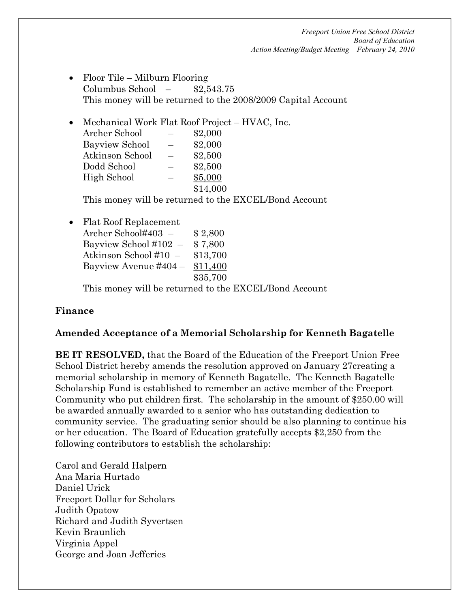- Floor Tile Milburn Flooring Columbus School – \$2,543.75 This money will be returned to the 2008/2009 Capital Account
- · Mechanical Work Flat Roof Project HVAC, Inc. Archer School – \$2,000 Bayview School – \$2,000 Atkinson School – \$2,500 Dodd School – \$2,500 High School – \$5,000 \$14,000

This money will be returned to the EXCEL/Bond Account

· Flat Roof Replacement

Archer School#403 – \$ 2,800 Bayview School  $\#102 - \$7,800$ Atkinson School #10 – \$13,700 Bayview Avenue  $\#404 - \$11,400$ \$35,700

This money will be returned to the EXCEL/Bond Account

### **Finance**

### **Amended Acceptance of a Memorial Scholarship for Kenneth Bagatelle**

**BE IT RESOLVED,** that the Board of the Education of the Freeport Union Free School District hereby amends the resolution approved on January 27creating a memorial scholarship in memory of Kenneth Bagatelle. The Kenneth Bagatelle Scholarship Fund is established to remember an active member of the Freeport Community who put children first. The scholarship in the amount of \$250.00 will be awarded annually awarded to a senior who has outstanding dedication to community service. The graduating senior should be also planning to continue his or her education. The Board of Education gratefully accepts \$2,250 from the following contributors to establish the scholarship:

Carol and Gerald Halpern Ana Maria Hurtado Daniel Urick Freeport Dollar for Scholars Judith Opatow Richard and Judith Syvertsen Kevin Braunlich Virginia Appel George and Joan Jefferies